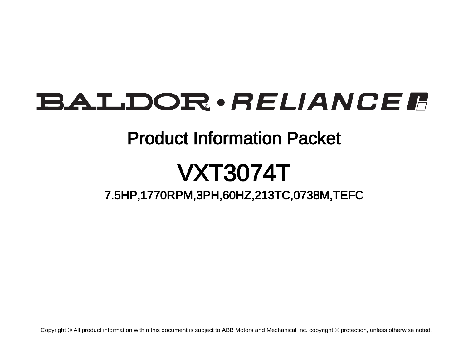# BALDOR · RELIANCE F

## Product Information Packet

# VXT3074T

7.5HP,1770RPM,3PH,60HZ,213TC,0738M,TEFC

Copyright © All product information within this document is subject to ABB Motors and Mechanical Inc. copyright © protection, unless otherwise noted.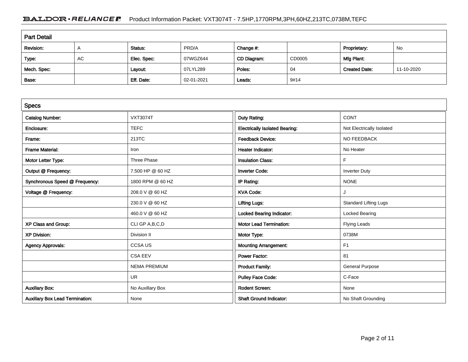### BALDOR · RELIANCE F Product Information Packet: VXT3074T - 7.5HP,1770RPM,3PH,60HZ,213TC,0738M,TEFC

| <b>Part Detail</b> |            |             |            |             |        |                      |            |  |
|--------------------|------------|-------------|------------|-------------|--------|----------------------|------------|--|
| Revision:          | $\sqrt{ }$ | Status:     | PRD/A      | Change #:   |        | Proprietary:         | No         |  |
| Type:              | AC         | Elec. Spec: | 07WGZ644   | CD Diagram: | CD0005 | Mfg Plant:           |            |  |
| Mech. Spec:        |            | Layout:     | 07LYL289   | Poles:      | 04     | <b>Created Date:</b> | 11-10-2020 |  |
| Base:              |            | Eff. Date:  | 02-01-2021 | Leads:      | 9#14   |                      |            |  |

| <b>Specs</b>                           |                     |                                       |                              |
|----------------------------------------|---------------------|---------------------------------------|------------------------------|
| <b>Catalog Number:</b>                 | <b>VXT3074T</b>     | Duty Rating:                          | <b>CONT</b>                  |
| Enclosure:                             | <b>TEFC</b>         | <b>Electrically Isolated Bearing:</b> | Not Electrically Isolated    |
| Frame:                                 | 213TC               | <b>Feedback Device:</b>               | NO FEEDBACK                  |
| <b>Frame Material:</b>                 | Iron                | <b>Heater Indicator:</b>              | No Heater                    |
| Motor Letter Type:                     | Three Phase         | <b>Insulation Class:</b>              | F                            |
| Output @ Frequency:                    | 7.500 HP @ 60 HZ    | <b>Inverter Code:</b>                 | <b>Inverter Duty</b>         |
| Synchronous Speed @ Frequency:         | 1800 RPM @ 60 HZ    | IP Rating:                            | <b>NONE</b>                  |
| Voltage @ Frequency:                   | 208.0 V @ 60 HZ     | <b>KVA Code:</b>                      | J                            |
|                                        | 230.0 V @ 60 HZ     | <b>Lifting Lugs:</b>                  | <b>Standard Lifting Lugs</b> |
|                                        | 460.0 V @ 60 HZ     | <b>Locked Bearing Indicator:</b>      | <b>Locked Bearing</b>        |
| XP Class and Group:                    | CLI GP A, B, C, D   | <b>Motor Lead Termination:</b>        | <b>Flying Leads</b>          |
| <b>XP Division:</b>                    | Division II         | Motor Type:                           | 0738M                        |
| <b>Agency Approvals:</b>               | <b>CCSAUS</b>       | <b>Mounting Arrangement:</b>          | F1                           |
|                                        | <b>CSA EEV</b>      | <b>Power Factor:</b>                  | 81                           |
|                                        | <b>NEMA PREMIUM</b> | <b>Product Family:</b>                | <b>General Purpose</b>       |
|                                        | <b>UR</b>           | <b>Pulley Face Code:</b>              | C-Face                       |
| <b>Auxillary Box:</b>                  | No Auxillary Box    | <b>Rodent Screen:</b>                 | None                         |
| <b>Auxillary Box Lead Termination:</b> | None                | <b>Shaft Ground Indicator:</b>        | No Shaft Grounding           |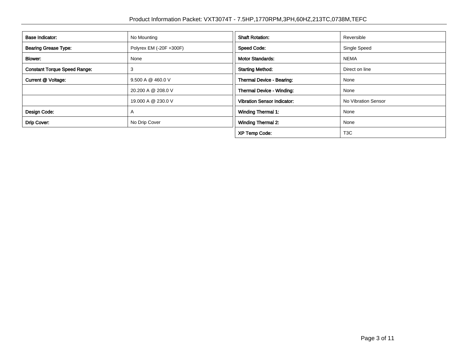| Base Indicator:                     | No Mounting             | <b>Shaft Rotation:</b>             | Reversible          |  |
|-------------------------------------|-------------------------|------------------------------------|---------------------|--|
| <b>Bearing Grease Type:</b>         | Polyrex EM (-20F +300F) | <b>Speed Code:</b>                 | Single Speed        |  |
| Blower:<br>None                     |                         | <b>Motor Standards:</b>            | <b>NEMA</b>         |  |
| <b>Constant Torque Speed Range:</b> | 3                       | <b>Starting Method:</b>            | Direct on line      |  |
| Current @ Voltage:                  | 9.500 A @ 460.0 V       | Thermal Device - Bearing:          | None                |  |
|                                     | 20.200 A @ 208.0 V      | Thermal Device - Winding:          | None                |  |
|                                     | 19,000 A @ 230.0 V      | <b>Vibration Sensor Indicator:</b> | No Vibration Sensor |  |
| Design Code:                        | $\mathsf{A}$            | <b>Winding Thermal 1:</b>          | None                |  |
| Drip Cover:                         | No Drip Cover           | <b>Winding Thermal 2:</b>          | None                |  |
|                                     |                         | <b>XP Temp Code:</b>               | T <sub>3</sub> C    |  |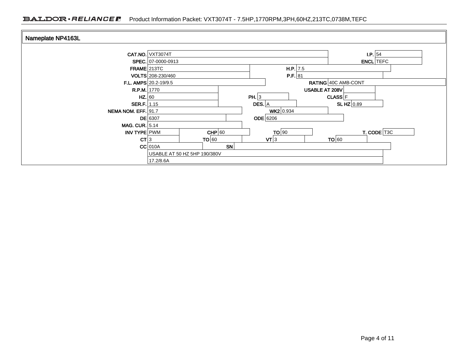### BALDOR · RELIANCE F Product Information Packet: VXT3074T - 7.5HP,1770RPM,3PH,60HZ,213TC,0738M,TEFC

| Nameplate NP4163L     |                              |          |                              |  |                                     |                  |
|-----------------------|------------------------------|----------|------------------------------|--|-------------------------------------|------------------|
|                       | <b>CAT.NO.</b> VXT3074T      |          |                              |  | $\mathsf{I}.\mathsf{P}.\mathsf{S}4$ |                  |
|                       | SPEC. 07-0000-0913           |          |                              |  |                                     | <b>ENCL</b> TEFC |
| $FRAME$ 213TC         |                              |          | H.P. 7.5                     |  |                                     |                  |
|                       | VOLTS 208-230/460            |          | P.F. 81                      |  |                                     |                  |
|                       | F.L. AMPS $20.2 - 19/9.5$    |          |                              |  | RATING 40C AMB-CONT                 |                  |
| R.P.M. 1770           |                              |          | USABLE AT 208V               |  |                                     |                  |
| $HZ.$ 60              |                              | PH. $ 3$ |                              |  | <b>CLASS</b> F                      |                  |
| SER.F.   1.15         |                              | DES. $A$ |                              |  | SLHZ $0.89$                         |                  |
| NEMA NOM. EFF. 91.7   |                              |          | WK2 0.934<br><b>ODE</b> 6206 |  |                                     |                  |
|                       | $DE$ 6307                    |          |                              |  |                                     |                  |
| <b>MAG. CUR. 5.14</b> |                              |          |                              |  |                                     |                  |
| INV TYPE PWM          | $CHP$ 60                     |          | TO 90                        |  |                                     | T. CODE T3C      |
| CT 3                  | TO 60                        | SN       | $\mathsf{V}\mathsf{T}$ 3     |  | TO 60                               |                  |
|                       | $CC$ 010A                    |          |                              |  |                                     |                  |
|                       | USABLE AT 50 HZ 5HP 190/380V |          |                              |  |                                     |                  |
|                       | 17.2/8.6A                    |          |                              |  |                                     |                  |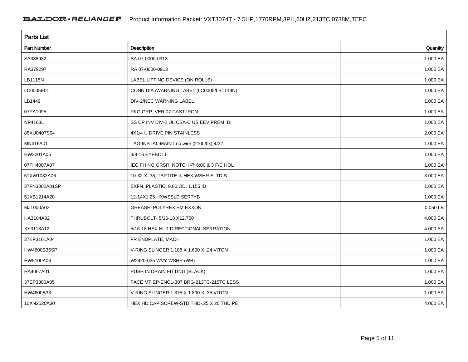| <b>Parts List</b> |                                          |          |  |  |  |  |
|-------------------|------------------------------------------|----------|--|--|--|--|
| Part Number       | Description                              | Quantity |  |  |  |  |
| SA388932          | SA 07-0000-0913                          | 1.000 EA |  |  |  |  |
| RA379297          | RA 07-0000-0913                          | 1.000 EA |  |  |  |  |
| LB1115N           | LABEL, LIFTING DEVICE (ON ROLLS)         | 1.000 EA |  |  |  |  |
| LC0005E01         | CONN.DIA./WARNING LABEL (LC0005/LB1119N) | 1.000 EA |  |  |  |  |
| LB1449            | DIV-2/NEC WARNING LABEL                  | 1.000 EA |  |  |  |  |
| 07PA1095          | PKG GRP, VER 07 CAST IRON                | 1.000 EA |  |  |  |  |
| NP4163L           | SS CP INV DIV-2 UL CSA-C US EEV PREM, DI | 1.000 EA |  |  |  |  |
| 85XU0407S04       | 4X1/4 U DRIVE PIN STAINLESS              | 2.000 EA |  |  |  |  |
| MN416A01          | TAG-INSTAL-MAINT no wire (2100/bx) 4/22  | 1.000 EA |  |  |  |  |
| HW3201A05         | 3/8-16 EYEBOLT                           | 1.000 EA |  |  |  |  |
| 07FH4007A07       | IEC FH NO GRSR, NOTCH @ 6:00 & 3 F/C HOL | 1.000 EA |  |  |  |  |
| 51XW1032A06       | 10-32 X .38, TAPTITE II, HEX WSHR SLTD S | 3.000 EA |  |  |  |  |
| 37FN3002A01SP     | EXFN, PLASTIC, 9.00 OD, 1.155 ID         | 1.000 EA |  |  |  |  |
| 51XB1214A20       | 12-14X1.25 HXWSSLD SERTYB                | 1.000 EA |  |  |  |  |
| MJ1000A02         | GREASE, POLYREX EM EXXON                 | 0.050 LB |  |  |  |  |
| HA3104A32         | THRUBOLT- 5/16-18 X12.750                | 4.000 EA |  |  |  |  |
| XY3118A12         | 5/16-18 HEX NUT DIRECTIONAL SERRATION    | 4.000 EA |  |  |  |  |
| 37EP3101A04       | FR ENDPLATE, MACH                        | 1.000 EA |  |  |  |  |
| HW4600B36SP       | V-RING SLINGER 1.188 X 1.690 X .24 VITON | 1.000 EA |  |  |  |  |
| HW5100A06         | W2420-025 WVY WSHR (WB)                  | 1.000 EA |  |  |  |  |
| HA4067A01         | PUSH IN DRAIN FITTING (BLACK)            | 1.000 EA |  |  |  |  |
| 37EP3300A05       | FACE MT EP-ENCL-307 BRG-213TC-215TC LESS | 1.000 EA |  |  |  |  |
| HW4600B33         | V-RING SLINGER 1.375 X 1.890 X .35 VITON | 1.000 EA |  |  |  |  |
| 10XN2520A30       | HEX HD CAP SCREW-STD THD-.25 X 20 THD PE | 4.000 EA |  |  |  |  |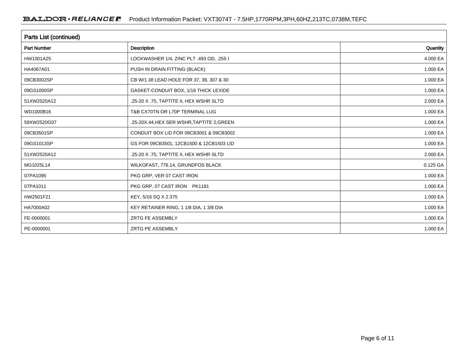| Parts List (continued) |                                            |          |  |  |  |  |
|------------------------|--------------------------------------------|----------|--|--|--|--|
| <b>Part Number</b>     | Description                                | Quantity |  |  |  |  |
| HW1001A25              | LOCKWASHER 1/4, ZINC PLT .493 OD, .255 I   | 4.000 EA |  |  |  |  |
| HA4067A01              | PUSH IN DRAIN FITTING (BLACK)              | 1.000 EA |  |  |  |  |
| 09CB3002SP             | CB W/1.38 LEAD HOLE FOR 37, 39, 307 & 30   | 1.000 EA |  |  |  |  |
| 09GS1000SP             | GASKET-CONDUIT BOX, 1/16 THICK LEXIDE      | 1.000 EA |  |  |  |  |
| 51XW2520A12            | .25-20 X .75, TAPTITE II, HEX WSHR SLTD    | 2.000 EA |  |  |  |  |
| WD1000B16              | T&B CX70TN OR L70P TERMINAL LUG            | 1.000 EA |  |  |  |  |
| 59XW2520G07            | .25-20X.44, HEX SER WSHR, TAPTITE 2, GREEN | 1.000 EA |  |  |  |  |
| 09CB3501SP             | CONDUIT BOX LID FOR 09CB3001 & 09CB3002    | 1.000 EA |  |  |  |  |
| 09GS1013SP             | GS FOR 09CB3501, 12CB1500 & 12CB1503 LID   | 1.000 EA |  |  |  |  |
| 51XW2520A12            | .25-20 X .75, TAPTITE II, HEX WSHR SLTD    | 2.000 EA |  |  |  |  |
| MG1025L14              | WILKOFAST, 776.14, GRUNDFOS BLACK          | 0.125 GA |  |  |  |  |
| 07PA1095               | PKG GRP, VER 07 CAST IRON                  | 1.000 EA |  |  |  |  |
| 07PA1011               | PKG GRP, 07 CAST IRON PK1181               | 1.000 EA |  |  |  |  |
| HW2501F21              | KEY, 5/16 SQ X 2.375                       | 1.000 EA |  |  |  |  |
| HA7000A02              | KEY RETAINER RING, 1 1/8 DIA, 1 3/8 DIA    | 1.000 EA |  |  |  |  |
| FE-0000001             | <b>ZRTG FE ASSEMBLY</b>                    | 1.000 EA |  |  |  |  |
| PE-0000001             | <b>ZRTG PE ASSEMBLY</b>                    | 1.000 EA |  |  |  |  |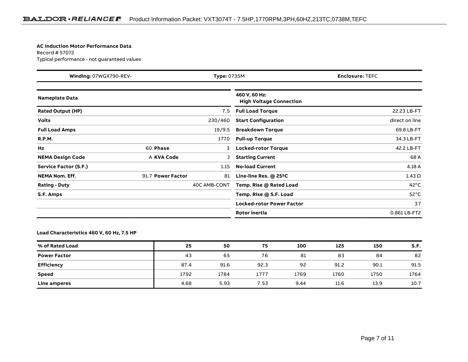#### **AC Induction Motor Performance Data**

Record # 57072Typical performance - not guaranteed values

| Winding: 07WGX790-REV-<br>Type: 0735M |                   | <b>Enclosure: TEFC</b> |                                                 |                |
|---------------------------------------|-------------------|------------------------|-------------------------------------------------|----------------|
| <b>Nameplate Data</b>                 |                   |                        | 460 V, 60 Hz:<br><b>High Voltage Connection</b> |                |
| <b>Rated Output (HP)</b>              |                   | 7.5                    | <b>Full Load Torque</b>                         | 22.23 LB-FT    |
| <b>Volts</b>                          |                   | 230/460                | <b>Start Configuration</b>                      | direct on line |
| <b>Full Load Amps</b>                 |                   | 19/9.5                 | <b>Breakdown Torque</b>                         | 69.8 LB-FT     |
| <b>R.P.M.</b>                         |                   | 1770                   | <b>Pull-up Torque</b>                           | 34.3 LB-FT     |
| Hz                                    | 60 Phase          | 3                      | <b>Locked-rotor Torque</b>                      | 42.2 LB-FT     |
| <b>NEMA Design Code</b>               | A KVA Code        |                        | <b>Starting Current</b>                         | 68 A           |
| Service Factor (S.F.)                 |                   | 1.15                   | <b>No-load Current</b>                          | 4.18 A         |
| <b>NEMA Nom. Eff.</b>                 | 91.7 Power Factor | 81                     | Line-line Res. $@$ 25 <sup>o</sup> C            | $1.43 \Omega$  |
| <b>Rating - Duty</b>                  |                   | 40C AMB-CONT           | Temp. Rise @ Rated Load                         | $42^{\circ}$ C |
| S.F. Amps                             |                   |                        | Temp. Rise @ S.F. Load                          | $52^{\circ}$ C |
|                                       |                   |                        | <b>Locked-rotor Power Factor</b>                | 37             |
|                                       |                   |                        | <b>Rotor inertia</b>                            | 0.861 LB-FT2   |

#### **Load Characteristics 460 V, 60 Hz, 7.5 HP**

| % of Rated Load     | 25   | 50   | 75   | 100  | 125  | 150  | S.F. |
|---------------------|------|------|------|------|------|------|------|
| <b>Power Factor</b> | 43   | 65   | 76   | 81   | 83   | 84   | 82   |
| <b>Efficiency</b>   | 87.4 | 91.6 | 92.3 | 92   | 91.2 | 90.1 | 91.5 |
| <b>Speed</b>        | 1792 | 1784 | 1777 | 1769 | 1760 | 1750 | 1764 |
| Line amperes        | 4.68 | 5.93 | 7.53 | 9.44 | 11.6 | 13.9 | 10.7 |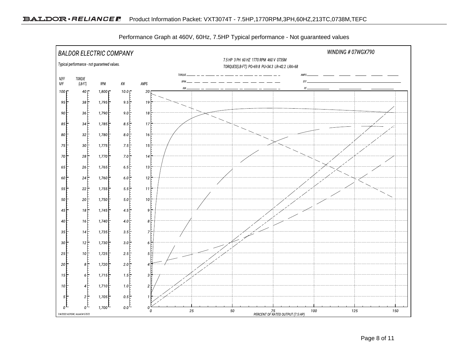

Performance Graph at 460V, 60Hz, 7.5HP Typical performance - Not guaranteed values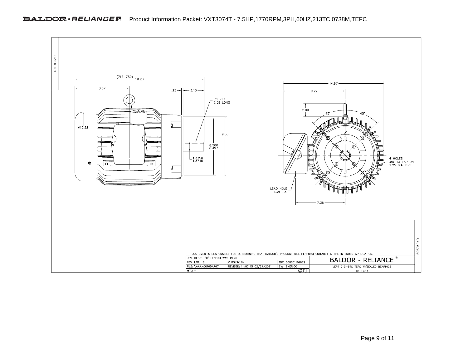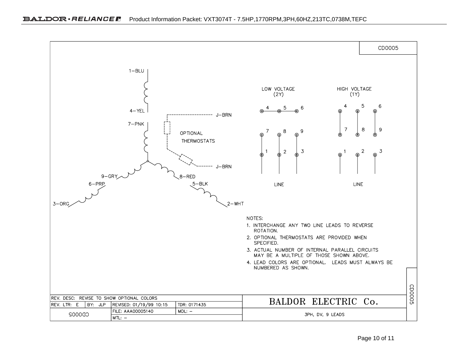